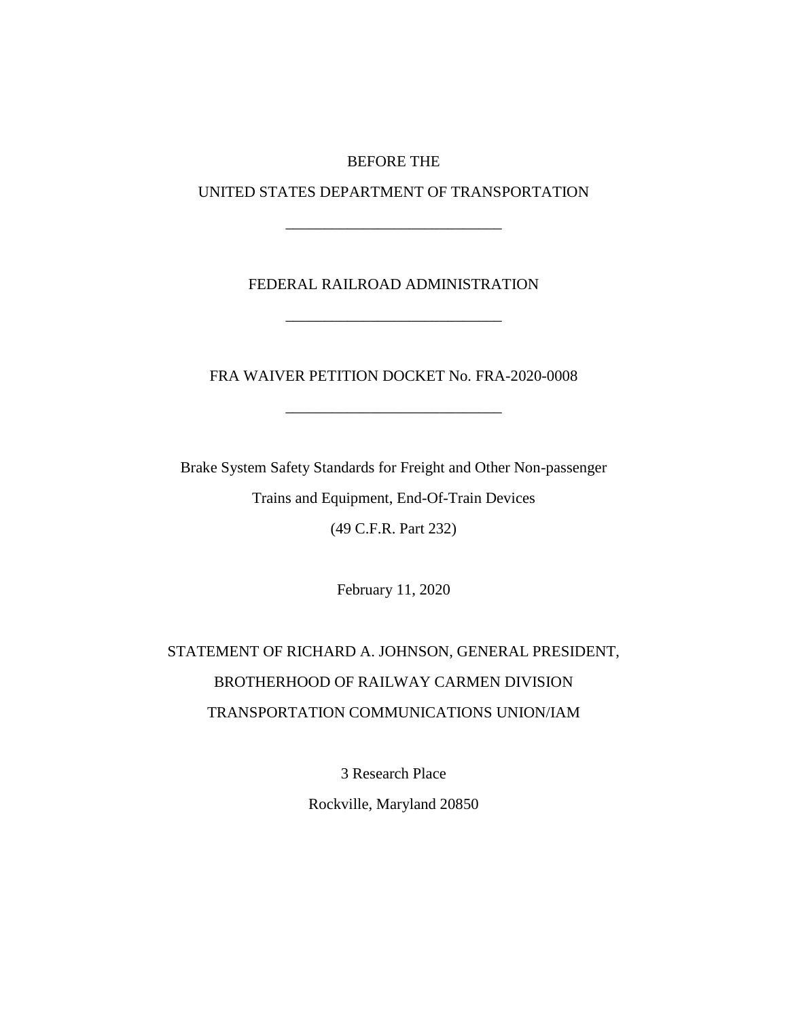### BEFORE THE

UNITED STATES DEPARTMENT OF TRANSPORTATION

\_\_\_\_\_\_\_\_\_\_\_\_\_\_\_\_\_\_\_\_\_\_\_\_\_\_\_\_

## FEDERAL RAILROAD ADMINISTRATION

\_\_\_\_\_\_\_\_\_\_\_\_\_\_\_\_\_\_\_\_\_\_\_\_\_\_\_\_

FRA WAIVER PETITION DOCKET No. FRA-2020-0008

\_\_\_\_\_\_\_\_\_\_\_\_\_\_\_\_\_\_\_\_\_\_\_\_\_\_\_\_

Brake System Safety Standards for Freight and Other Non-passenger Trains and Equipment, End-Of-Train Devices (49 C.F.R. Part 232)

February 11, 2020

# STATEMENT OF RICHARD A. JOHNSON, GENERAL PRESIDENT, BROTHERHOOD OF RAILWAY CARMEN DIVISION TRANSPORTATION COMMUNICATIONS UNION/IAM

3 Research Place

Rockville, Maryland 20850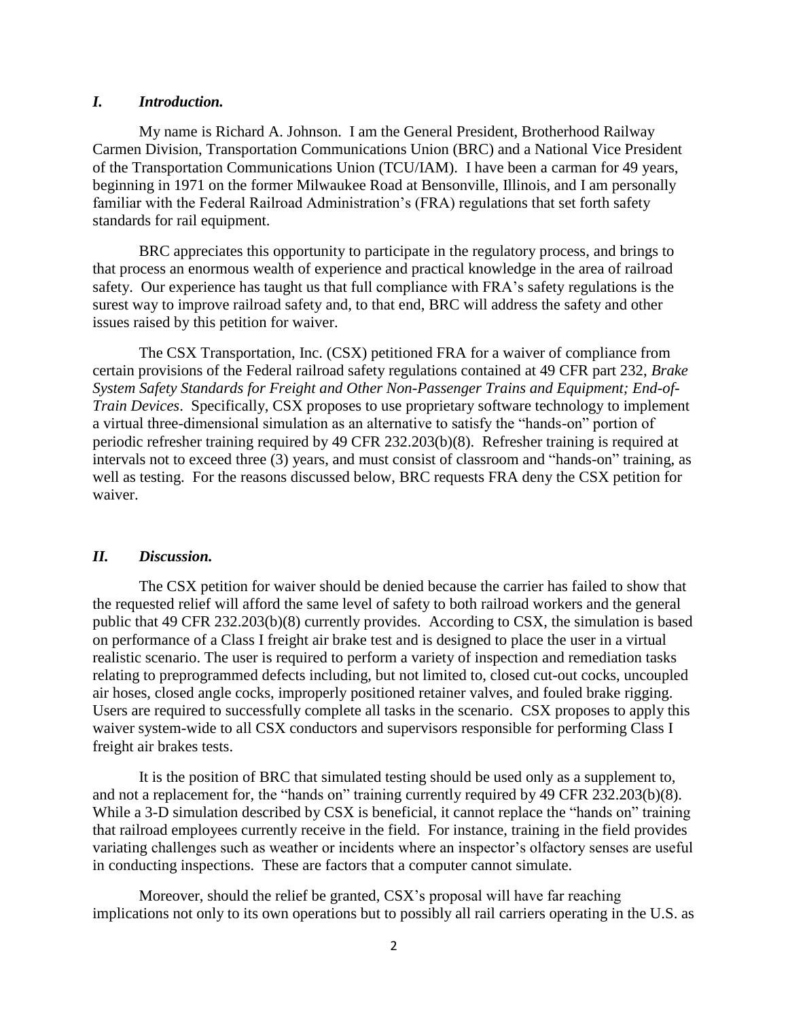#### *I. Introduction.*

My name is Richard A. Johnson. I am the General President, Brotherhood Railway Carmen Division, Transportation Communications Union (BRC) and a National Vice President of the Transportation Communications Union (TCU/IAM). I have been a carman for 49 years, beginning in 1971 on the former Milwaukee Road at Bensonville, Illinois, and I am personally familiar with the Federal Railroad Administration's (FRA) regulations that set forth safety standards for rail equipment.

BRC appreciates this opportunity to participate in the regulatory process, and brings to that process an enormous wealth of experience and practical knowledge in the area of railroad safety. Our experience has taught us that full compliance with FRA's safety regulations is the surest way to improve railroad safety and, to that end, BRC will address the safety and other issues raised by this petition for waiver.

The CSX Transportation, Inc. (CSX) petitioned FRA for a waiver of compliance from certain provisions of the Federal railroad safety regulations contained at 49 CFR part 232, *Brake System Safety Standards for Freight and Other Non-Passenger Trains and Equipment; End-of-Train Devices*. Specifically, CSX proposes to use proprietary software technology to implement a virtual three-dimensional simulation as an alternative to satisfy the "hands-on" portion of periodic refresher training required by 49 CFR 232.203(b)(8). Refresher training is required at intervals not to exceed three (3) years, and must consist of classroom and "hands-on" training, as well as testing. For the reasons discussed below, BRC requests FRA deny the CSX petition for waiver.

#### *II. Discussion.*

The CSX petition for waiver should be denied because the carrier has failed to show that the requested relief will afford the same level of safety to both railroad workers and the general public that 49 CFR 232.203(b)(8) currently provides. According to CSX, the simulation is based on performance of a Class I freight air brake test and is designed to place the user in a virtual realistic scenario. The user is required to perform a variety of inspection and remediation tasks relating to preprogrammed defects including, but not limited to, closed cut-out cocks, uncoupled air hoses, closed angle cocks, improperly positioned retainer valves, and fouled brake rigging. Users are required to successfully complete all tasks in the scenario. CSX proposes to apply this waiver system-wide to all CSX conductors and supervisors responsible for performing Class I freight air brakes tests.

It is the position of BRC that simulated testing should be used only as a supplement to, and not a replacement for, the "hands on" training currently required by 49 CFR 232.203(b)(8). While a 3-D simulation described by CSX is beneficial, it cannot replace the "hands on" training that railroad employees currently receive in the field. For instance, training in the field provides variating challenges such as weather or incidents where an inspector's olfactory senses are useful in conducting inspections. These are factors that a computer cannot simulate.

Moreover, should the relief be granted, CSX's proposal will have far reaching implications not only to its own operations but to possibly all rail carriers operating in the U.S. as